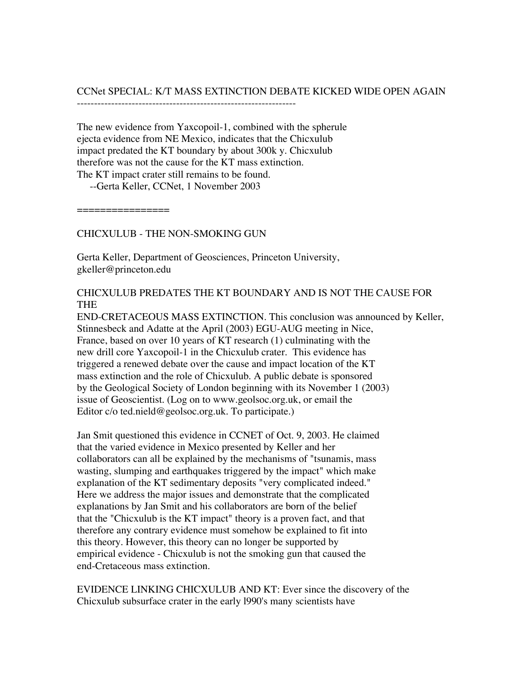# CCNet SPECIAL: K/T MASS EXTINCTION DEBATE KICKED WIDE OPEN AGAIN

----------------------------------------------------------------

The new evidence from Yaxcopoil-1, combined with the spherule ejecta evidence from NE Mexico, indicates that the Chicxulub impact predated the KT boundary by about 300k y. Chicxulub therefore was not the cause for the KT mass extinction. The KT impact crater still remains to be found.

--Gerta Keller, CCNet, 1 November 2003

================

CHICXULUB - THE NON-SMOKING GUN

Gerta Keller, Department of Geosciences, Princeton University, gkeller@princeton.edu

## CHICXULUB PREDATES THE KT BOUNDARY AND IS NOT THE CAUSE FOR THE

END-CRETACEOUS MASS EXTINCTION. This conclusion was announced by Keller, Stinnesbeck and Adatte at the April (2003) EGU-AUG meeting in Nice, France, based on over 10 years of KT research (1) culminating with the new drill core Yaxcopoil-1 in the Chicxulub crater. This evidence has triggered a renewed debate over the cause and impact location of the KT mass extinction and the role of Chicxulub. A public debate is sponsored by the Geological Society of London beginning with its November 1 (2003) issue of Geoscientist. (Log on to www.geolsoc.org.uk, or email the Editor c/o ted.nield@geolsoc.org.uk. To participate.)

Jan Smit questioned this evidence in CCNET of Oct. 9, 2003. He claimed that the varied evidence in Mexico presented by Keller and her collaborators can all be explained by the mechanisms of "tsunamis, mass wasting, slumping and earthquakes triggered by the impact" which make explanation of the KT sedimentary deposits "very complicated indeed." Here we address the major issues and demonstrate that the complicated explanations by Jan Smit and his collaborators are born of the belief that the "Chicxulub is the KT impact" theory is a proven fact, and that therefore any contrary evidence must somehow be explained to fit into this theory. However, this theory can no longer be supported by empirical evidence - Chicxulub is not the smoking gun that caused the end-Cretaceous mass extinction.

EVIDENCE LINKING CHICXULUB AND KT: Ever since the discovery of the Chicxulub subsurface crater in the early l990's many scientists have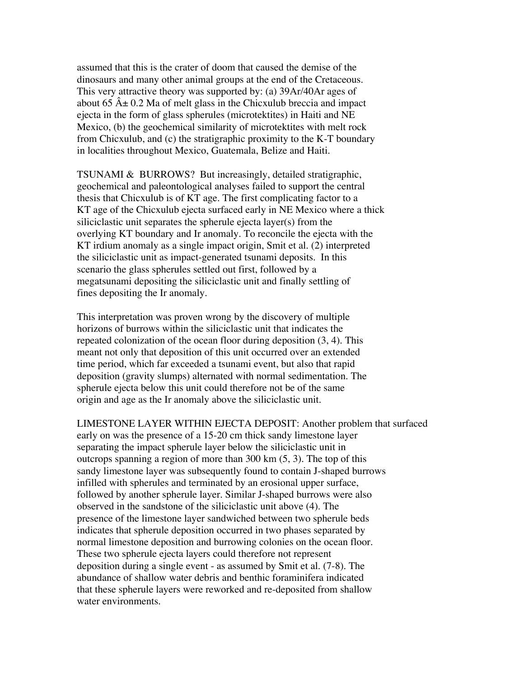assumed that this is the crater of doom that caused the demise of the dinosaurs and many other animal groups at the end of the Cretaceous. This very attractive theory was supported by: (a) 39Ar/40Ar ages of about 65  $\hat{A} \pm 0.2$  Ma of melt glass in the Chicxulub breccia and impact ejecta in the form of glass spherules (microtektites) in Haiti and NE Mexico, (b) the geochemical similarity of microtektites with melt rock from Chicxulub, and (c) the stratigraphic proximity to the K-T boundary in localities throughout Mexico, Guatemala, Belize and Haiti.

TSUNAMI & BURROWS? But increasingly, detailed stratigraphic, geochemical and paleontological analyses failed to support the central thesis that Chicxulub is of KT age. The first complicating factor to a KT age of the Chicxulub ejecta surfaced early in NE Mexico where a thick siliciclastic unit separates the spherule ejecta layer(s) from the overlying KT boundary and Ir anomaly. To reconcile the ejecta with the KT irdium anomaly as a single impact origin, Smit et al. (2) interpreted the siliciclastic unit as impact-generated tsunami deposits. In this scenario the glass spherules settled out first, followed by a megatsunami depositing the siliciclastic unit and finally settling of fines depositing the Ir anomaly.

This interpretation was proven wrong by the discovery of multiple horizons of burrows within the siliciclastic unit that indicates the repeated colonization of the ocean floor during deposition (3, 4). This meant not only that deposition of this unit occurred over an extended time period, which far exceeded a tsunami event, but also that rapid deposition (gravity slumps) alternated with normal sedimentation. The spherule ejecta below this unit could therefore not be of the same origin and age as the Ir anomaly above the siliciclastic unit.

LIMESTONE LAYER WITHIN EJECTA DEPOSIT: Another problem that surfaced early on was the presence of a 15-20 cm thick sandy limestone layer separating the impact spherule layer below the siliciclastic unit in outcrops spanning a region of more than 300 km (5, 3). The top of this sandy limestone layer was subsequently found to contain J-shaped burrows infilled with spherules and terminated by an erosional upper surface, followed by another spherule layer. Similar J-shaped burrows were also observed in the sandstone of the siliciclastic unit above (4). The presence of the limestone layer sandwiched between two spherule beds indicates that spherule deposition occurred in two phases separated by normal limestone deposition and burrowing colonies on the ocean floor. These two spherule ejecta layers could therefore not represent deposition during a single event - as assumed by Smit et al. (7-8). The abundance of shallow water debris and benthic foraminifera indicated that these spherule layers were reworked and re-deposited from shallow water environments.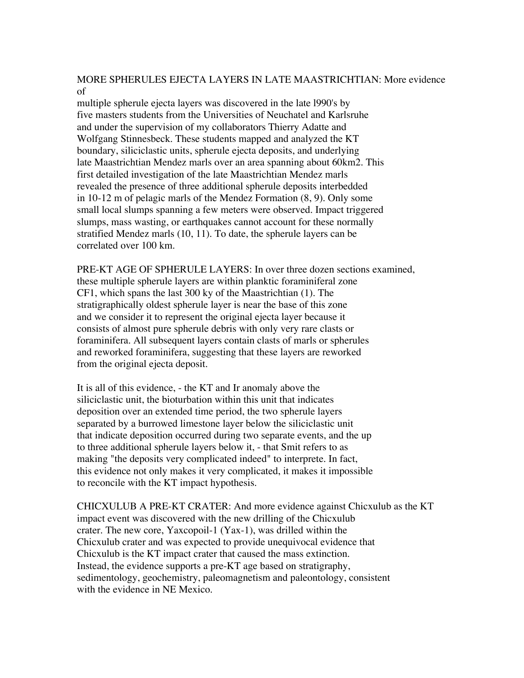### MORE SPHERULES EJECTA LAYERS IN LATE MAASTRICHTIAN: More evidence of

multiple spherule ejecta layers was discovered in the late l990's by five masters students from the Universities of Neuchatel and Karlsruhe and under the supervision of my collaborators Thierry Adatte and Wolfgang Stinnesbeck. These students mapped and analyzed the KT boundary, siliciclastic units, spherule ejecta deposits, and underlying late Maastrichtian Mendez marls over an area spanning about 60km2. This first detailed investigation of the late Maastrichtian Mendez marls revealed the presence of three additional spherule deposits interbedded in 10-12 m of pelagic marls of the Mendez Formation (8, 9). Only some small local slumps spanning a few meters were observed. Impact triggered slumps, mass wasting, or earthquakes cannot account for these normally stratified Mendez marls (10, 11). To date, the spherule layers can be correlated over 100 km.

PRE-KT AGE OF SPHERULE LAYERS: In over three dozen sections examined, these multiple spherule layers are within planktic foraminiferal zone CF1, which spans the last 300 ky of the Maastrichtian (1). The stratigraphically oldest spherule layer is near the base of this zone and we consider it to represent the original ejecta layer because it consists of almost pure spherule debris with only very rare clasts or foraminifera. All subsequent layers contain clasts of marls or spherules and reworked foraminifera, suggesting that these layers are reworked from the original ejecta deposit.

It is all of this evidence, - the KT and Ir anomaly above the siliciclastic unit, the bioturbation within this unit that indicates deposition over an extended time period, the two spherule layers separated by a burrowed limestone layer below the siliciclastic unit that indicate deposition occurred during two separate events, and the up to three additional spherule layers below it, - that Smit refers to as making "the deposits very complicated indeed" to interprete. In fact, this evidence not only makes it very complicated, it makes it impossible to reconcile with the KT impact hypothesis.

CHICXULUB A PRE-KT CRATER: And more evidence against Chicxulub as the KT impact event was discovered with the new drilling of the Chicxulub crater. The new core, Yaxcopoil-1 (Yax-1), was drilled within the Chicxulub crater and was expected to provide unequivocal evidence that Chicxulub is the KT impact crater that caused the mass extinction. Instead, the evidence supports a pre-KT age based on stratigraphy, sedimentology, geochemistry, paleomagnetism and paleontology, consistent with the evidence in NE Mexico.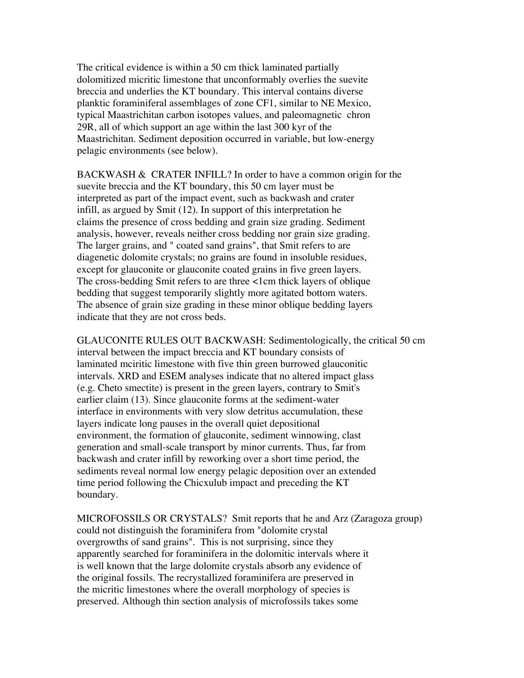The critical evidence is within a 50 cm thick laminated partially dolomitized micritic limestone that unconformably overlies the suevite breccia and underlies the KT boundary. This interval contains diverse planktic foraminiferal assemblages of zone CF1, similar to NE Mexico, typical Maastrichitan carbon isotopes values, and paleomagnetic chron 29R, all of which support an age within the last 300 kyr of the Maastrichitan. Sediment deposition occurred in variable, but low-energy pelagic environments (see below).

BACKWASH & CRATER INFILL? In order to have a common origin for the suevite breccia and the KT boundary, this 50 cm layer must be interpreted as part of the impact event, such as backwash and crater infill, as argued by Smit (12). In support of this interpretation he claims the presence of cross bedding and grain size grading. Sediment analysis, however, reveals neither cross bedding nor grain size grading. The larger grains, and " coated sand grains", that Smit refers to are diagenetic dolomite crystals; no grains are found in insoluble residues, except for glauconite or glauconite coated grains in five green layers. The cross-bedding Smit refers to are three <1cm thick layers of oblique bedding that suggest temporarily slightly more agitated bottom waters. The absence of grain size grading in these minor oblique bedding layers indicate that they are not cross beds.

GLAUCONITE RULES OUT BACKWASH: Sedimentologically, the critical 50 cm interval between the impact breccia and KT boundary consists of laminated mciritic limestone with five thin green burrowed glauconitic intervals. XRD and ESEM analyses indicate that no altered impact glass (e.g. Cheto smectite) is present in the green layers, contrary to Smit's earlier claim (13). Since glauconite forms at the sediment-water interface in environments with very slow detritus accumulation, these layers indicate long pauses in the overall quiet depositional environment, the formation of glauconite, sediment winnowing, clast generation and small-scale transport by minor currents. Thus, far from backwash and crater infill by reworking over a short time period, the sediments reveal normal low energy pelagic deposition over an extended time period following the Chicxulub impact and preceding the KT boundary.

MICROFOSSILS OR CRYSTALS? Smit reports that he and Arz (Zaragoza group) could not distinguish the foraminifera from "dolomite crystal overgrowths of sand grains". This is not surprising, since they apparently searched for foraminifera in the dolomitic intervals where it is well known that the large dolomite crystals absorb any evidence of the original fossils. The recrystallized foraminifera are preserved in the micritic limestones where the overall morphology of species is preserved. Although thin section analysis of microfossils takes some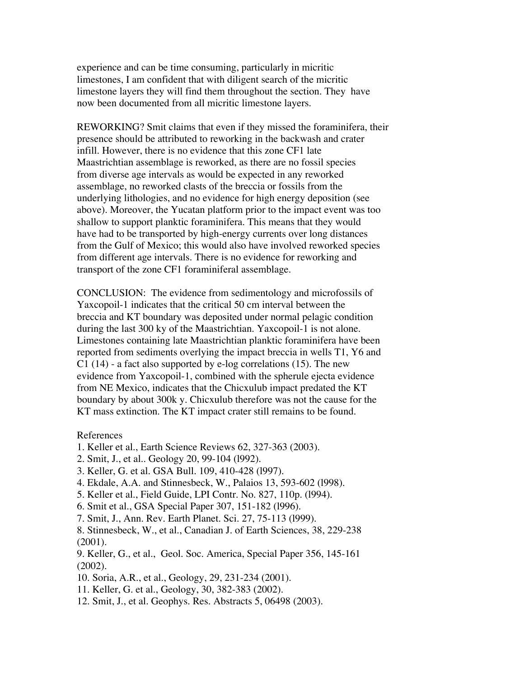experience and can be time consuming, particularly in micritic limestones, I am confident that with diligent search of the micritic limestone layers they will find them throughout the section. They have now been documented from all micritic limestone layers.

REWORKING? Smit claims that even if they missed the foraminifera, their presence should be attributed to reworking in the backwash and crater infill. However, there is no evidence that this zone CF1 late Maastrichtian assemblage is reworked, as there are no fossil species from diverse age intervals as would be expected in any reworked assemblage, no reworked clasts of the breccia or fossils from the underlying lithologies, and no evidence for high energy deposition (see above). Moreover, the Yucatan platform prior to the impact event was too shallow to support planktic foraminifera. This means that they would have had to be transported by high-energy currents over long distances from the Gulf of Mexico; this would also have involved reworked species from different age intervals. There is no evidence for reworking and transport of the zone CF1 foraminiferal assemblage.

CONCLUSION: The evidence from sedimentology and microfossils of Yaxcopoil-1 indicates that the critical 50 cm interval between the breccia and KT boundary was deposited under normal pelagic condition during the last 300 ky of the Maastrichtian. Yaxcopoil-1 is not alone. Limestones containing late Maastrichtian planktic foraminifera have been reported from sediments overlying the impact breccia in wells T1, Y6 and  $C1$  (14) - a fact also supported by e-log correlations (15). The new evidence from Yaxcopoil-1, combined with the spherule ejecta evidence from NE Mexico, indicates that the Chicxulub impact predated the KT boundary by about 300k y. Chicxulub therefore was not the cause for the KT mass extinction. The KT impact crater still remains to be found.

### References

- 1. Keller et al., Earth Science Reviews 62, 327-363 (2003).
- 2. Smit, J., et al.. Geology 20, 99-104 (l992).
- 3. Keller, G. et al. GSA Bull. 109, 410-428 (l997).
- 4. Ekdale, A.A. and Stinnesbeck, W., Palaios 13, 593-602 (l998).
- 5. Keller et al., Field Guide, LPI Contr. No. 827, 110p. (l994).
- 6. Smit et al., GSA Special Paper 307, 151-182 (l996).
- 7. Smit, J., Ann. Rev. Earth Planet. Sci. 27, 75-113 (l999).
- 8. Stinnesbeck, W., et al., Canadian J. of Earth Sciences, 38, 229-238 (2001).

9. Keller, G., et al., Geol. Soc. America, Special Paper 356, 145-161 (2002).

- 10. Soria, A.R., et al., Geology, 29, 231-234 (2001).
- 11. Keller, G. et al., Geology, 30, 382-383 (2002).
- 12. Smit, J., et al. Geophys. Res. Abstracts 5, 06498 (2003).